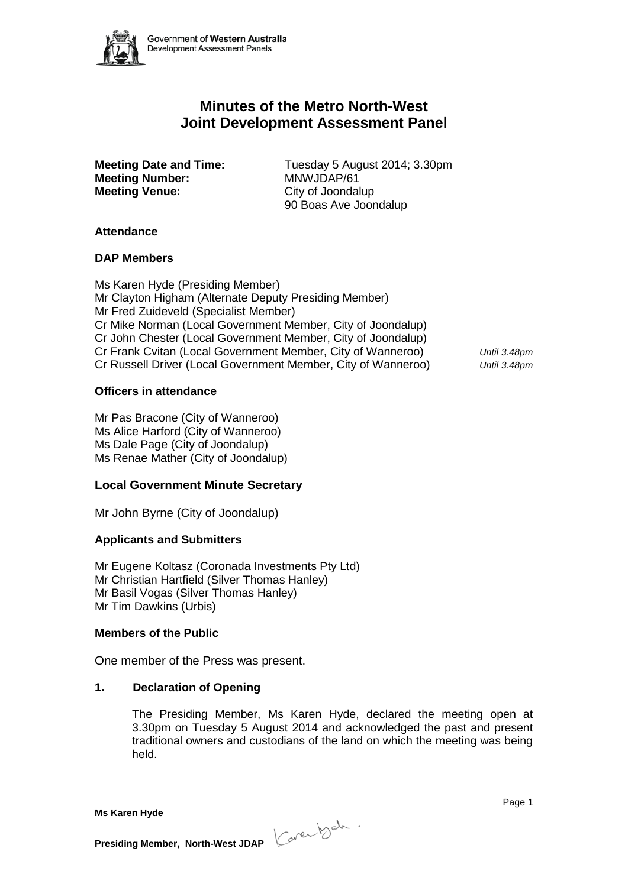

# **Minutes of the Metro North-West Joint Development Assessment Panel**

**Meeting Number:** MNWJDAP/61 **Meeting Venue:** City of Joondalup

**Meeting Date and Time:** Tuesday 5 August 2014; 3.30pm 90 Boas Ave Joondalup

### **Attendance**

### **DAP Members**

Ms Karen Hyde (Presiding Member) Mr Clayton Higham (Alternate Deputy Presiding Member) Mr Fred Zuideveld (Specialist Member) Cr Mike Norman (Local Government Member, City of Joondalup) Cr John Chester (Local Government Member, City of Joondalup) Cr Frank Cvitan (Local Government Member, City of Wanneroo) *Until 3.48pm* Cr Russell Driver (Local Government Member, City of Wanneroo) *Until 3.48pm*

# **Officers in attendance**

Mr Pas Bracone (City of Wanneroo) Ms Alice Harford (City of Wanneroo) Ms Dale Page (City of Joondalup) Ms Renae Mather (City of Joondalup)

# **Local Government Minute Secretary**

Mr John Byrne (City of Joondalup)

# **Applicants and Submitters**

Mr Eugene Koltasz (Coronada Investments Pty Ltd) Mr Christian Hartfield (Silver Thomas Hanley) Mr Basil Vogas (Silver Thomas Hanley) Mr Tim Dawkins (Urbis)

#### **Members of the Public**

One member of the Press was present.

# **1. Declaration of Opening**

The Presiding Member, Ms Karen Hyde, declared the meeting open at 3.30pm on Tuesday 5 August 2014 and acknowledged the past and present traditional owners and custodians of the land on which the meeting was being held.

**Presiding Member, North-West JDAP**  $\left\{\begin{array}{c} \mathcal{A} & \mathcal{A} & \mathcal{A} \\ \mathcal{A} & \mathcal{A} & \mathcal{A} \end{array} \right\}$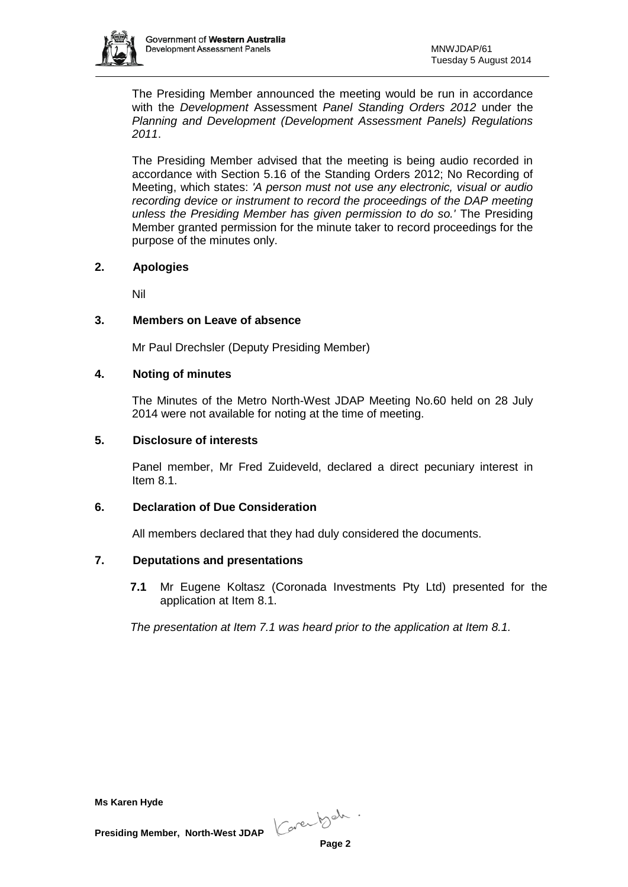

The Presiding Member announced the meeting would be run in accordance with the *Development* Assessment *Panel Standing Orders 2012* under the *Planning and Development (Development Assessment Panels) Regulations 2011*.

The Presiding Member advised that the meeting is being audio recorded in accordance with Section 5.16 of the Standing Orders 2012; No Recording of Meeting, which states: *'A person must not use any electronic, visual or audio recording device or instrument to record the proceedings of the DAP meeting unless the Presiding Member has given permission to do so.'* The Presiding Member granted permission for the minute taker to record proceedings for the purpose of the minutes only.

# **2. Apologies**

Nil

# **3. Members on Leave of absence**

Mr Paul Drechsler (Deputy Presiding Member)

# **4. Noting of minutes**

The Minutes of the Metro North-West JDAP Meeting No.60 held on 28 July 2014 were not available for noting at the time of meeting.

### **5. Disclosure of interests**

Panel member, Mr Fred Zuideveld, declared a direct pecuniary interest in Item 8.1.

# **6. Declaration of Due Consideration**

All members declared that they had duly considered the documents.

# **7. Deputations and presentations**

**7.1** Mr Eugene Koltasz (Coronada Investments Pty Ltd) presented for the application at Item 8.1.

*The presentation at Item 7.1 was heard prior to the application at Item 8.1.*

**Ms Karen Hyde**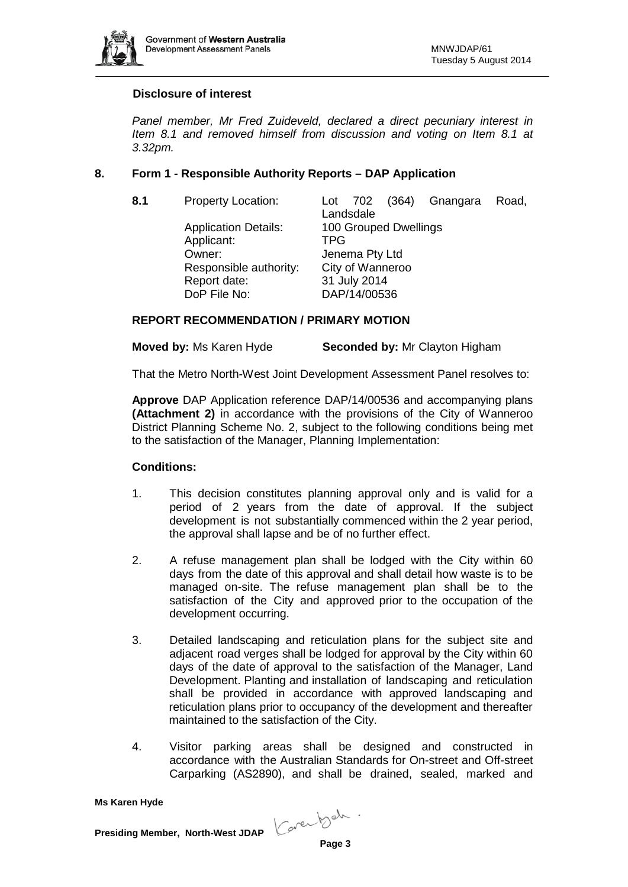

### **Disclosure of interest**

*Panel member, Mr Fred Zuideveld, declared a direct pecuniary interest in Item 8.1 and removed himself from discussion and voting on Item 8.1 at 3.32pm.*

### **8. Form 1 - Responsible Authority Reports – DAP Application**

**8.1** Property Location: Lot 702 (364) Gnangara Road, Landsdale Application Details: 100 Grouped Dwellings Applicant: TPG Owner: Jenema Pty Ltd Responsible authority: City of Wanneroo Report date: 31 July 2014<br>DoP File No: DAP/14/0053 DAP/14/00536

### **REPORT RECOMMENDATION / PRIMARY MOTION**

**Moved by:** Ms Karen Hyde **Seconded by:** Mr Clayton Higham

That the Metro North-West Joint Development Assessment Panel resolves to:

**Approve** DAP Application reference DAP/14/00536 and accompanying plans **(Attachment 2)** in accordance with the provisions of the City of Wanneroo District Planning Scheme No. 2, subject to the following conditions being met to the satisfaction of the Manager, Planning Implementation:

#### **Conditions:**

- 1. This decision constitutes planning approval only and is valid for a period of 2 years from the date of approval. If the subject development is not substantially commenced within the 2 year period, the approval shall lapse and be of no further effect.
- 2. A refuse management plan shall be lodged with the City within 60 days from the date of this approval and shall detail how waste is to be managed on-site. The refuse management plan shall be to the satisfaction of the City and approved prior to the occupation of the development occurring.
- 3. Detailed landscaping and reticulation plans for the subject site and adjacent road verges shall be lodged for approval by the City within 60 days of the date of approval to the satisfaction of the Manager, Land Development. Planting and installation of landscaping and reticulation shall be provided in accordance with approved landscaping and reticulation plans prior to occupancy of the development and thereafter maintained to the satisfaction of the City.
- 4. Visitor parking areas shall be designed and constructed in accordance with the Australian Standards for On-street and Off-street Carparking (AS2890), and shall be drained, sealed, marked and

**Ms Karen Hyde**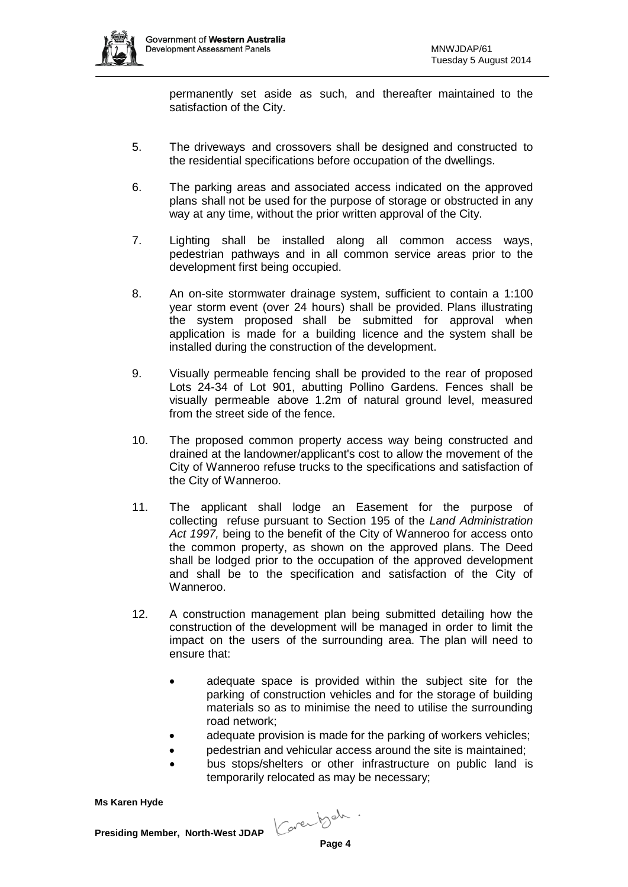

permanently set aside as such, and thereafter maintained to the satisfaction of the City.

- 5. The driveways and crossovers shall be designed and constructed to the residential specifications before occupation of the dwellings.
- 6. The parking areas and associated access indicated on the approved plans shall not be used for the purpose of storage or obstructed in any way at any time, without the prior written approval of the City.
- 7. Lighting shall be installed along all common access ways, pedestrian pathways and in all common service areas prior to the development first being occupied.
- 8. An on-site stormwater drainage system, sufficient to contain a 1:100 year storm event (over 24 hours) shall be provided. Plans illustrating the system proposed shall be submitted for approval when application is made for a building licence and the system shall be installed during the construction of the development.
- 9. Visually permeable fencing shall be provided to the rear of proposed Lots 24-34 of Lot 901, abutting Pollino Gardens. Fences shall be visually permeable above 1.2m of natural ground level, measured from the street side of the fence.
- 10. The proposed common property access way being constructed and drained at the landowner/applicant's cost to allow the movement of the City of Wanneroo refuse trucks to the specifications and satisfaction of the City of Wanneroo.
- 11. The applicant shall lodge an Easement for the purpose of collecting refuse pursuant to Section 195 of the *Land Administration Act 1997,* being to the benefit of the City of Wanneroo for access onto the common property, as shown on the approved plans. The Deed shall be lodged prior to the occupation of the approved development and shall be to the specification and satisfaction of the City of Wanneroo.
- 12. A construction management plan being submitted detailing how the construction of the development will be managed in order to limit the impact on the users of the surrounding area. The plan will need to ensure that:
	- adequate space is provided within the subject site for the parking of construction vehicles and for the storage of building materials so as to minimise the need to utilise the surrounding road network;
	- adequate provision is made for the parking of workers vehicles:
	- pedestrian and vehicular access around the site is maintained;
	- bus stops/shelters or other infrastructure on public land is temporarily relocated as may be necessary;

**Ms Karen Hyde**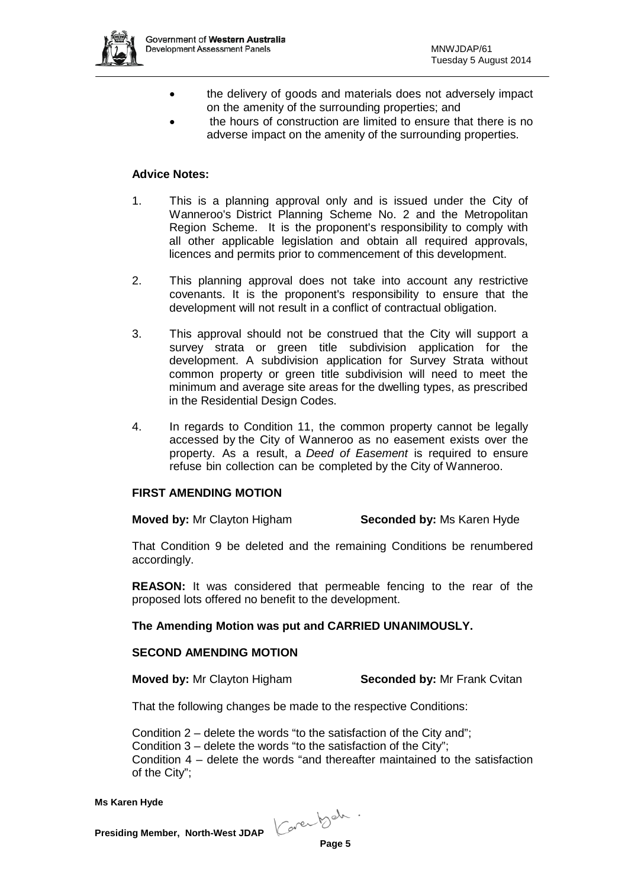

- the delivery of goods and materials does not adversely impact on the amenity of the surrounding properties; and
- the hours of construction are limited to ensure that there is no adverse impact on the amenity of the surrounding properties.

# **Advice Notes:**

- 1. This is a planning approval only and is issued under the City of Wanneroo's District Planning Scheme No. 2 and the Metropolitan Region Scheme. It is the proponent's responsibility to comply with all other applicable legislation and obtain all required approvals, licences and permits prior to commencement of this development.
- 2. This planning approval does not take into account any restrictive covenants. It is the proponent's responsibility to ensure that the development will not result in a conflict of contractual obligation.
- 3. This approval should not be construed that the City will support a survey strata or green title subdivision application for the development. A subdivision application for Survey Strata without common property or green title subdivision will need to meet the minimum and average site areas for the dwelling types, as prescribed in the Residential Design Codes.
- 4. In regards to Condition 11, the common property cannot be legally accessed by the City of Wanneroo as no easement exists over the property. As a result, a *Deed of Easement* is required to ensure refuse bin collection can be completed by the City of Wanneroo.

#### **FIRST AMENDING MOTION**

**Moved by:** Mr Clayton Higham **Seconded by:** Ms Karen Hyde

That Condition 9 be deleted and the remaining Conditions be renumbered accordingly.

**REASON:** It was considered that permeable fencing to the rear of the proposed lots offered no benefit to the development.

#### **The Amending Motion was put and CARRIED UNANIMOUSLY.**

#### **SECOND AMENDING MOTION**

**Moved by:** Mr Clayton Higham **Seconded by:** Mr Frank Cvitan

That the following changes be made to the respective Conditions:

Condition 2 – delete the words "to the satisfaction of the City and"; Condition 3 – delete the words "to the satisfaction of the City"; Condition 4 – delete the words "and thereafter maintained to the satisfaction of the City";

**Ms Karen Hyde**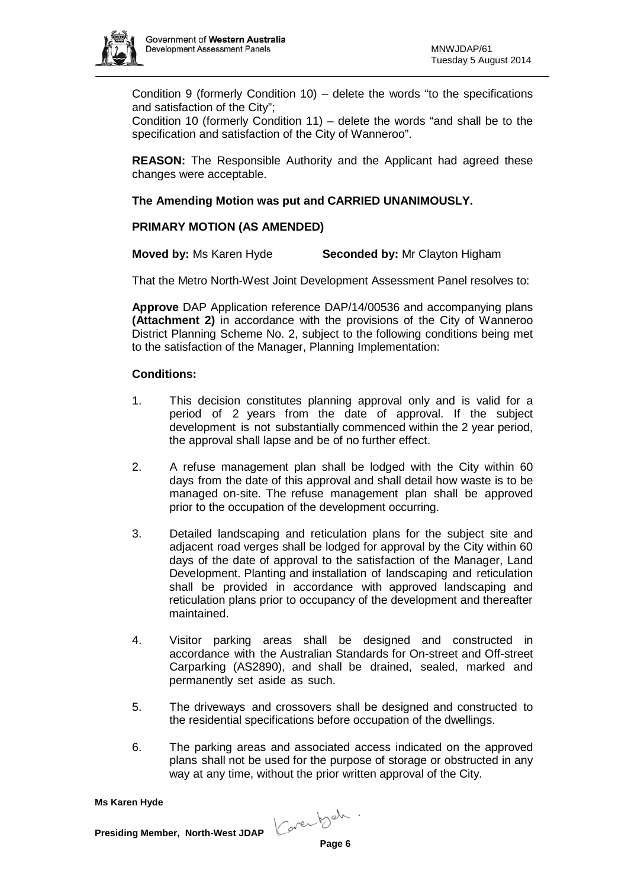

Condition 9 (formerly Condition 10) – delete the words "to the specifications and satisfaction of the City";

Condition 10 (formerly Condition 11) – delete the words "and shall be to the specification and satisfaction of the City of Wanneroo".

**REASON:** The Responsible Authority and the Applicant had agreed these changes were acceptable.

# **The Amending Motion was put and CARRIED UNANIMOUSLY.**

# **PRIMARY MOTION (AS AMENDED)**

**Moved by:** Ms Karen Hyde **Seconded by:** Mr Clayton Higham

That the Metro North-West Joint Development Assessment Panel resolves to:

**Approve** DAP Application reference DAP/14/00536 and accompanying plans **(Attachment 2)** in accordance with the provisions of the City of Wanneroo District Planning Scheme No. 2, subject to the following conditions being met to the satisfaction of the Manager, Planning Implementation:

#### **Conditions:**

- 1. This decision constitutes planning approval only and is valid for a period of 2 years from the date of approval. If the subject development is not substantially commenced within the 2 year period, the approval shall lapse and be of no further effect.
- 2. A refuse management plan shall be lodged with the City within 60 days from the date of this approval and shall detail how waste is to be managed on-site. The refuse management plan shall be approved prior to the occupation of the development occurring.
- 3. Detailed landscaping and reticulation plans for the subject site and adjacent road verges shall be lodged for approval by the City within 60 days of the date of approval to the satisfaction of the Manager, Land Development. Planting and installation of landscaping and reticulation shall be provided in accordance with approved landscaping and reticulation plans prior to occupancy of the development and thereafter maintained.
- 4. Visitor parking areas shall be designed and constructed in accordance with the Australian Standards for On-street and Off-street Carparking (AS2890), and shall be drained, sealed, marked and permanently set aside as such.
- 5. The driveways and crossovers shall be designed and constructed to the residential specifications before occupation of the dwellings.
- 6. The parking areas and associated access indicated on the approved plans shall not be used for the purpose of storage or obstructed in any way at any time, without the prior written approval of the City.

**Ms Karen Hyde**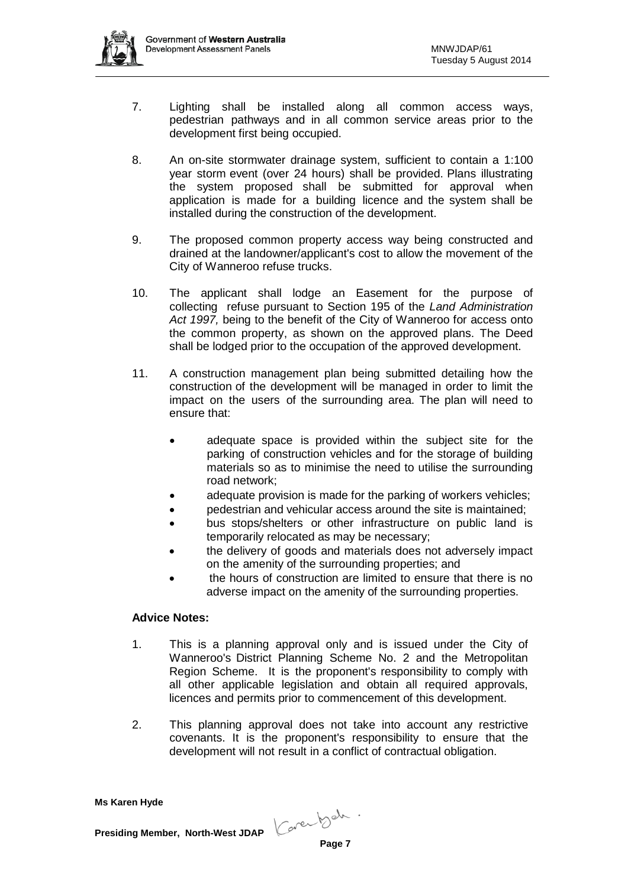

- 7. Lighting shall be installed along all common access ways, pedestrian pathways and in all common service areas prior to the development first being occupied.
- 8. An on-site stormwater drainage system, sufficient to contain a 1:100 year storm event (over 24 hours) shall be provided. Plans illustrating the system proposed shall be submitted for approval when application is made for a building licence and the system shall be installed during the construction of the development.
- 9. The proposed common property access way being constructed and drained at the landowner/applicant's cost to allow the movement of the City of Wanneroo refuse trucks.
- 10. The applicant shall lodge an Easement for the purpose of collecting refuse pursuant to Section 195 of the *Land Administration Act 1997,* being to the benefit of the City of Wanneroo for access onto the common property, as shown on the approved plans. The Deed shall be lodged prior to the occupation of the approved development.
- 11. A construction management plan being submitted detailing how the construction of the development will be managed in order to limit the impact on the users of the surrounding area. The plan will need to ensure that:
	- adequate space is provided within the subject site for the parking of construction vehicles and for the storage of building materials so as to minimise the need to utilise the surrounding road network;
	- adequate provision is made for the parking of workers vehicles;
	- pedestrian and vehicular access around the site is maintained;
	- bus stops/shelters or other infrastructure on public land is temporarily relocated as may be necessary;
	- the delivery of goods and materials does not adversely impact on the amenity of the surrounding properties; and
	- the hours of construction are limited to ensure that there is no adverse impact on the amenity of the surrounding properties.

# **Advice Notes:**

- 1. This is a planning approval only and is issued under the City of Wanneroo's District Planning Scheme No. 2 and the Metropolitan Region Scheme. It is the proponent's responsibility to comply with all other applicable legislation and obtain all required approvals, licences and permits prior to commencement of this development.
- 2. This planning approval does not take into account any restrictive covenants. It is the proponent's responsibility to ensure that the development will not result in a conflict of contractual obligation.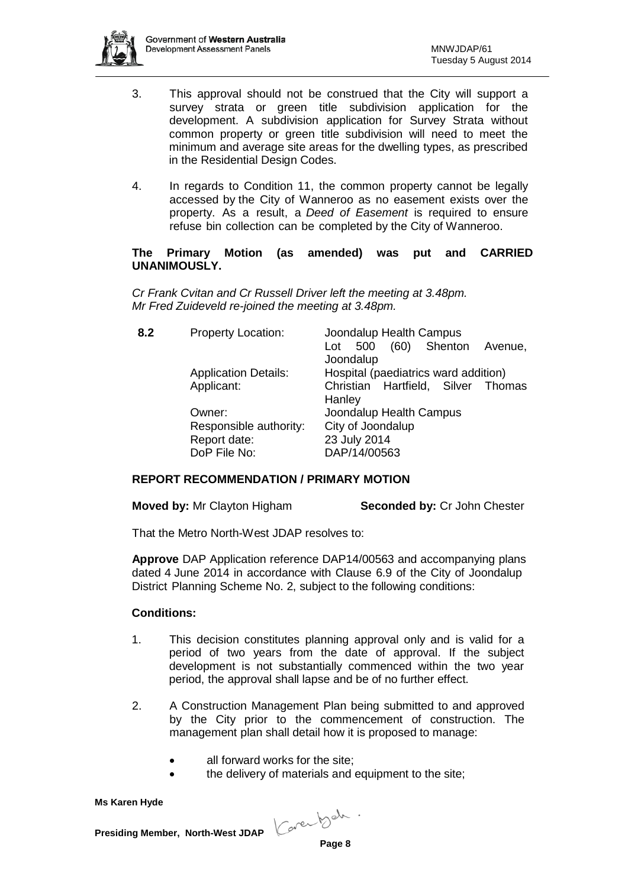

- 3. This approval should not be construed that the City will support a survey strata or green title subdivision application for the development. A subdivision application for Survey Strata without common property or green title subdivision will need to meet the minimum and average site areas for the dwelling types, as prescribed in the Residential Design Codes.
- 4. In regards to Condition 11, the common property cannot be legally accessed by the City of Wanneroo as no easement exists over the property. As a result, a *Deed of Easement* is required to ensure refuse bin collection can be completed by the City of Wanneroo.

### **The Primary Motion (as amended) was put and CARRIED UNANIMOUSLY.**

*Cr Frank Cvitan and Cr Russell Driver left the meeting at 3.48pm. Mr Fred Zuideveld re-joined the meeting at 3.48pm.*

| 8.2 | <b>Property Location:</b>   | Joondalup Health Campus               |
|-----|-----------------------------|---------------------------------------|
|     |                             | (60) Shenton<br>500<br>Avenue,<br>Lot |
|     |                             | Joondalup                             |
|     | <b>Application Details:</b> | Hospital (paediatrics ward addition)  |
|     | Applicant:                  | Christian Hartfield, Silver Thomas    |
|     |                             | Hanley                                |
|     | Owner:                      | Joondalup Health Campus               |
|     | Responsible authority:      | City of Joondalup                     |
|     | Report date:                | 23 July 2014                          |
|     | DoP File No:                | DAP/14/00563                          |

# **REPORT RECOMMENDATION / PRIMARY MOTION**

**Moved by:** Mr Clayton Higham **Seconded by:** Cr John Chester

That the Metro North-West JDAP resolves to:

**Approve** DAP Application reference DAP14/00563 and accompanying plans dated 4 June 2014 in accordance with Clause 6.9 of the City of Joondalup District Planning Scheme No. 2, subject to the following conditions:

#### **Conditions:**

- 1. This decision constitutes planning approval only and is valid for a period of two years from the date of approval. If the subject development is not substantially commenced within the two year period, the approval shall lapse and be of no further effect.
- 2. A Construction Management Plan being submitted to and approved by the City prior to the commencement of construction. The management plan shall detail how it is proposed to manage:
	- all forward works for the site:
	- the delivery of materials and equipment to the site;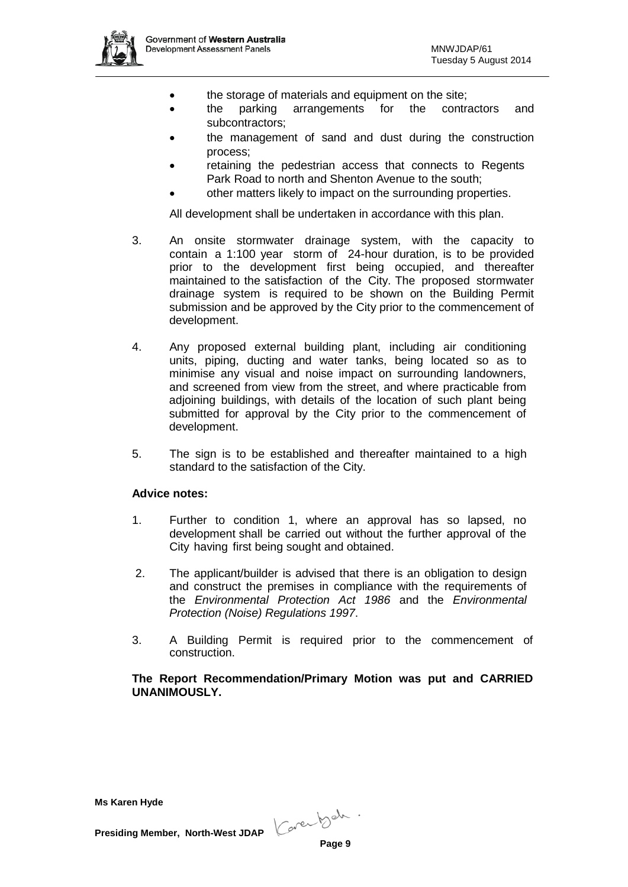

- the storage of materials and equipment on the site;
- the parking arrangements for the contractors and subcontractors;
- the management of sand and dust during the construction process;
- retaining the pedestrian access that connects to Regents Park Road to north and Shenton Avenue to the south;
- other matters likely to impact on the surrounding properties.

All development shall be undertaken in accordance with this plan.

- 3. An onsite stormwater drainage system, with the capacity to contain a 1:100 year storm of 24-hour duration, is to be provided prior to the development first being occupied, and thereafter maintained to the satisfaction of the City. The proposed stormwater drainage system is required to be shown on the Building Permit submission and be approved by the City prior to the commencement of development.
- 4. Any proposed external building plant, including air conditioning units, piping, ducting and water tanks, being located so as to minimise any visual and noise impact on surrounding landowners, and screened from view from the street, and where practicable from adjoining buildings, with details of the location of such plant being submitted for approval by the City prior to the commencement of development.
- 5. The sign is to be established and thereafter maintained to a high standard to the satisfaction of the City.

#### **Advice notes:**

- 1. Further to condition 1, where an approval has so lapsed, no development shall be carried out without the further approval of the City having first being sought and obtained.
- 2. The applicant/builder is advised that there is an obligation to design and construct the premises in compliance with the requirements of the *Environmental Protection Act 1986* and the *Environmental Protection (Noise) Regulations 1997*.
- 3. A Building Permit is required prior to the commencement of construction.

### **The Report Recommendation/Primary Motion was put and CARRIED UNANIMOUSLY.**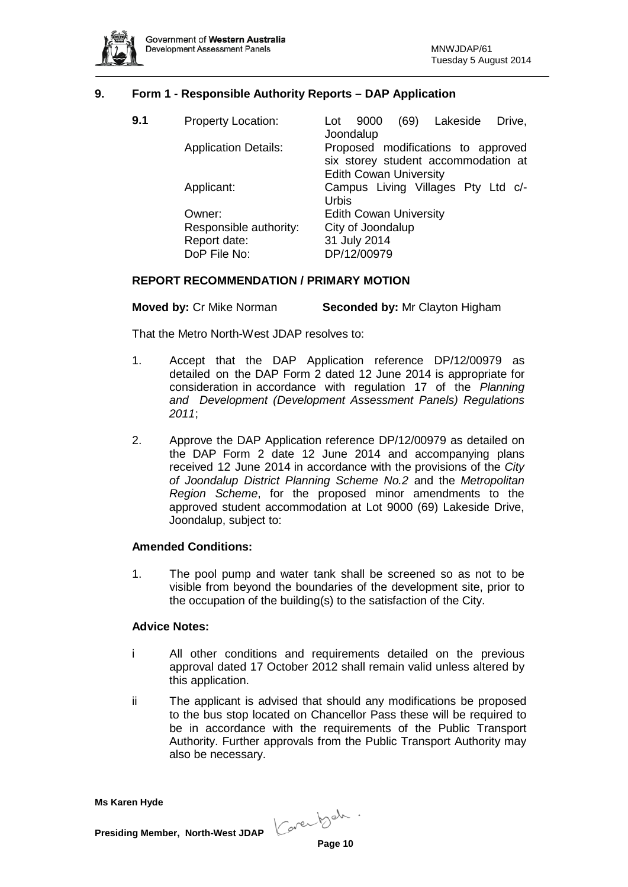

# **9. Form 1 - Responsible Authority Reports – DAP Application**

| 9.1 | <b>Property Location:</b>                                        | Lakeside<br>(69)<br>Drive,<br>9000<br>Lot<br>Joondalup                              |
|-----|------------------------------------------------------------------|-------------------------------------------------------------------------------------|
|     | <b>Application Details:</b>                                      | Proposed modifications to approved<br>six storey student accommodation at           |
|     | Applicant:                                                       | <b>Edith Cowan University</b><br>Campus Living Villages Pty Ltd c/-<br><b>Urbis</b> |
|     | Owner:<br>Responsible authority:<br>Report date:<br>DoP File No: | <b>Edith Cowan University</b><br>City of Joondalup<br>31 July 2014<br>DP/12/00979   |

### **REPORT RECOMMENDATION / PRIMARY MOTION**

**Moved by:** Cr Mike Norman **Seconded by:** Mr Clayton Higham

That the Metro North-West JDAP resolves to:

- 1. Accept that the DAP Application reference DP/12/00979 as detailed on the DAP Form 2 dated 12 June 2014 is appropriate for consideration in accordance with regulation 17 of the *Planning and Development (Development Assessment Panels) Regulations 2011*;
- 2. Approve the DAP Application reference DP/12/00979 as detailed on the DAP Form 2 date 12 June 2014 and accompanying plans received 12 June 2014 in accordance with the provisions of the *City of Joondalup District Planning Scheme No.2* and the *Metropolitan Region Scheme*, for the proposed minor amendments to the approved student accommodation at Lot 9000 (69) Lakeside Drive, Joondalup, subject to:

#### **Amended Conditions:**

1. The pool pump and water tank shall be screened so as not to be visible from beyond the boundaries of the development site, prior to the occupation of the building(s) to the satisfaction of the City.

#### **Advice Notes:**

- i All other conditions and requirements detailed on the previous approval dated 17 October 2012 shall remain valid unless altered by this application.
- ii The applicant is advised that should any modifications be proposed to the bus stop located on Chancellor Pass these will be required to be in accordance with the requirements of the Public Transport Authority. Further approvals from the Public Transport Authority may also be necessary.

**Ms Karen Hyde**